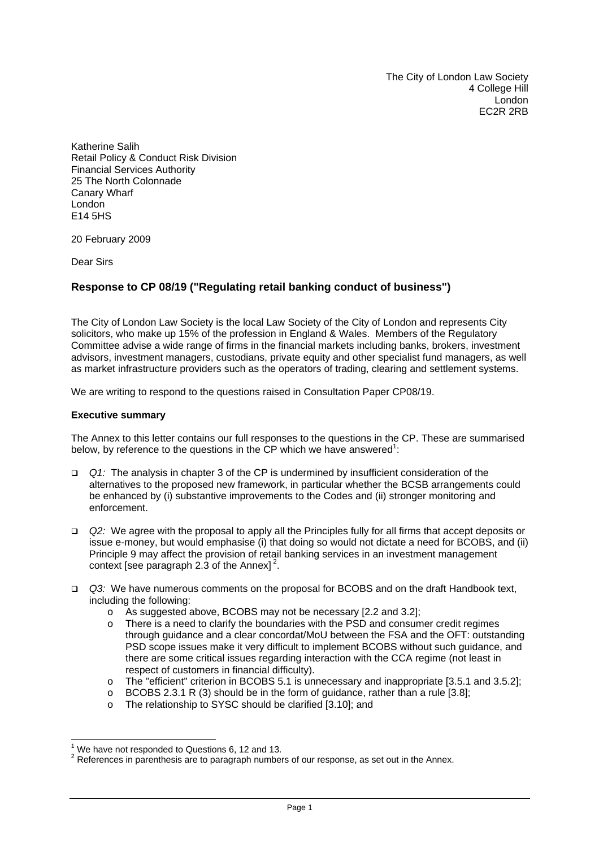The City of London Law Society 4 College Hill London EC2R 2RB

Katherine Salih Retail Policy & Conduct Risk Division Financial Services Authority 25 The North Colonnade Canary Wharf London E14 5HS

20 February 2009

Dear Sirs

# **Response to CP 08/19 ("Regulating retail banking conduct of business")**

The City of London Law Society is the local Law Society of the City of London and represents City solicitors, who make up 15% of the profession in England & Wales. Members of the Regulatory Committee advise a wide range of firms in the financial markets including banks, brokers, investment advisors, investment managers, custodians, private equity and other specialist fund managers, as well as market infrastructure providers such as the operators of trading, clearing and settlement systems.

We are writing to respond to the questions raised in Consultation Paper CP08/19.

#### **Executive summary**

The Annex to this letter contains our full responses to the questions in the CP. These are summarised below, by reference to the questions in the CP which we have answered<sup>[1](#page-0-0)</sup>:

- *Q1:* The analysis in chapter 3 of the CP is undermined by insufficient consideration of the alternatives to the proposed new framework, in particular whether the BCSB arrangements could be enhanced by (i) substantive improvements to the Codes and (ii) stronger monitoring and enforcement.
- *Q2:* We agree with the proposal to apply all the Principles fully for all firms that accept deposits or issue e-money, but would emphasise (i) that doing so would not dictate a need for BCOBS, and (ii) Principle 9 may affect the provision of retail banking services in an investment management context [see paragraph [2.](#page-0-1)3 of the Annex]<sup>2</sup>.
- *Q3:* We have numerous comments on the proposal for BCOBS and on the draft Handbook text, including the following:
	- o As suggested above, BCOBS may not be necessary [\[2.2](#page-4-0) and [3.2\]](#page-5-0);
	- $\circ$  There is a need to clarify the boundaries with the PSD and consumer credit regimes through guidance and a clear concordat/MoU between the FSA and the OFT: outstanding PSD scope issues make it very difficult to implement BCOBS without such guidance, and there are some critical issues regarding interaction with the CCA regime (not least in respect of customers in financial difficulty).
	- o The "efficient" criterion in BCOBS 5.1 is unnecessary and inappropriate [3.5.1 and 3.5.2];
	- $\circ$  BCOBS 2.3.1 R (3) should be in the form of guidance, rather than a rule [\[3.8\]](#page-7-0);
	- o The relationship to SYSC should be clarified [\[3.10\]](#page-8-0); and

 $\frac{1}{1}$ <sup>1</sup> We have not responded to Questions 6, 12 and 13.

<span id="page-0-1"></span><span id="page-0-0"></span>Protective terms in parenthesis are to paragraph numbers of our response, as set out in the Annex.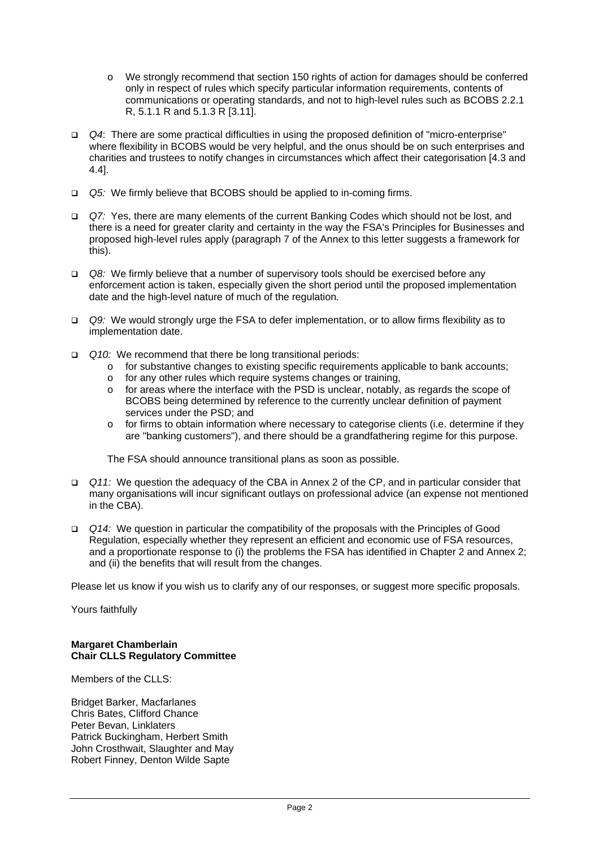- o We strongly recommend that section 150 rights of action for damages should be conferred only in respect of rules which specify particular information requirements, contents of communications or operating standards, and not to high-level rules such as BCOBS 2.2.1 R, 5.1.1 R and 5.1.3 R [[3.11\]](#page-8-1).
- *Q4*: There are some practical difficulties in using the proposed definition of "micro-enterprise" where flexibility in BCOBS would be very helpful, and the onus should be on such enterprises and charities and trustees to notify changes in circumstances which affect their categorisation [\[4.3](#page-8-2) and [4.4\]](#page-8-3).
- *Q5:* We firmly believe that BCOBS should be applied to in-coming firms.
- *Q7:* Yes, there are many elements of the current Banking Codes which should not be lost, and there is a need for greater clarity and certainty in the way the FSA's Principles for Businesses and proposed high-level rules apply (paragraph [7](#page-9-0) of the Annex to this letter suggests a framework for this).
- *Q8:* We firmly believe that a number of supervisory tools should be exercised before any enforcement action is taken, especially given the short period until the proposed implementation date and the high-level nature of much of the regulation*.*
- *Q9:* We would strongly urge the FSA to defer implementation, or to allow firms flexibility as to implementation date.
- *Q10:* We recommend that there be long transitional periods:
	- o for substantive changes to existing specific requirements applicable to bank accounts;<br>
	o for any other rules which require systems changes or training.
	- for any other rules which require systems changes or training,
	- $\circ$  for areas where the interface with the PSD is unclear, notably, as regards the scope of BCOBS being determined by reference to the currently unclear definition of payment services under the PSD; and
	- o for firms to obtain information where necessary to categorise clients (i.e. determine if they are "banking customers"), and there should be a grandfathering regime for this purpose.

The FSA should announce transitional plans as soon as possible.

- *Q11:* We question the adequacy of the CBA in Annex 2 of the CP, and in particular consider that many organisations will incur significant outlays on professional advice (an expense not mentioned in the CBA).
- *Q14:* We question in particular the compatibility of the proposals with the Principles of Good Regulation, especially whether they represent an efficient and economic use of FSA resources, and a proportionate response to (i) the problems the FSA has identified in Chapter 2 and Annex 2; and (ii) the benefits that will result from the changes.

Please let us know if you wish us to clarify any of our responses, or suggest more specific proposals.

Yours faithfully

#### **Margaret Chamberlain Chair CLLS Regulatory Committee**

Members of the CLLS:

Bridget Barker, Macfarlanes Chris Bates, Clifford Chance Peter Bevan, Linklaters Patrick Buckingham, Herbert Smith John Crosthwait, Slaughter and May Robert Finney, Denton Wilde Sapte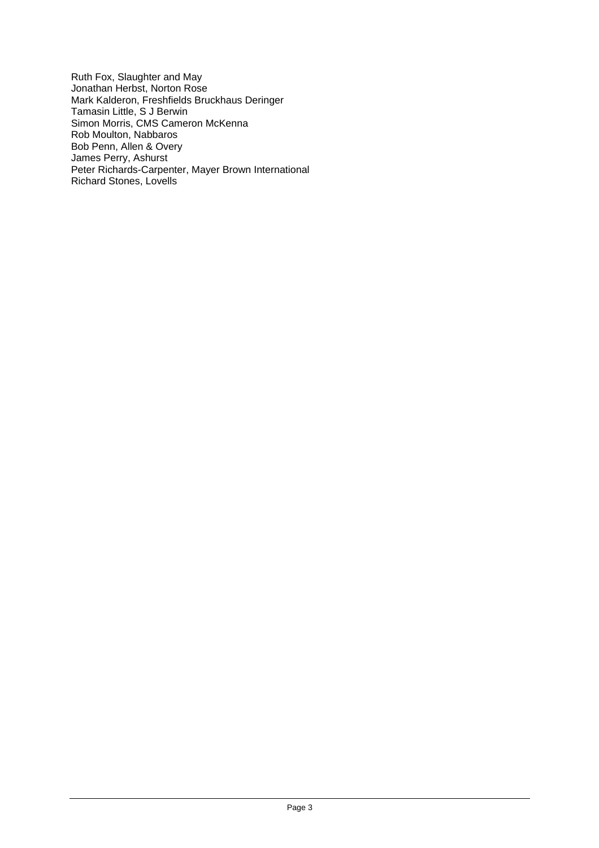Ruth Fox, Slaughter and May Jonathan Herbst, Norton Rose Mark Kalderon, Freshfields Bruckhaus Deringer Tamasin Little, S J Berwin Simon Morris, CMS Cameron McKenna Rob Moulton, Nabbaros Bob Penn, Allen & Overy James Perry, Ashurst Peter Richards-Carpenter, Mayer Brown International Richard Stones, Lovells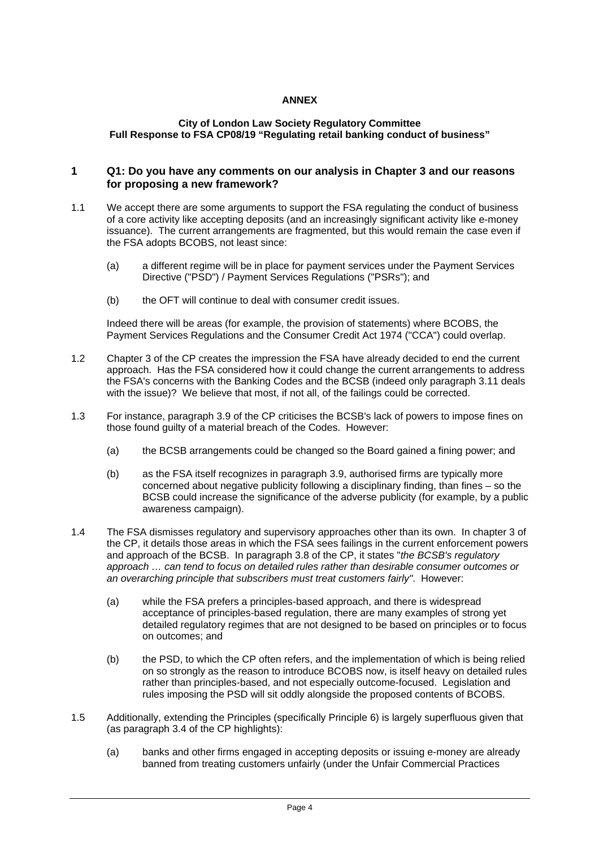# **ANNEX**

#### **City of London Law Society Regulatory Committee Full Response to FSA CP08/19 "Regulating retail banking conduct of business"**

### **1 Q1: Do you have any comments on our analysis in Chapter 3 and our reasons for proposing a new framework?**

- 1.1 We accept there are some arguments to support the FSA regulating the conduct of business of a core activity like accepting deposits (and an increasingly significant activity like e-money issuance). The current arrangements are fragmented, but this would remain the case even if the FSA adopts BCOBS, not least since:
	- (a) a different regime will be in place for payment services under the Payment Services Directive ("PSD") / Payment Services Regulations ("PSRs"); and
	- (b) the OFT will continue to deal with consumer credit issues.

<span id="page-3-0"></span>Indeed there will be areas (for example, the provision of statements) where BCOBS, the Payment Services Regulations and the Consumer Credit Act 1974 ("CCA") could overlap.

- 1.2 Chapter 3 of the CP creates the impression the FSA have already decided to end the current approach. Has the FSA considered how it could change the current arrangements to address the FSA's concerns with the Banking Codes and the BCSB (indeed only paragraph 3.11 deals with the issue)? We believe that most, if not all, of the failings could be corrected.
- <span id="page-3-1"></span>1.3 For instance, paragraph 3.9 of the CP criticises the BCSB's lack of powers to impose fines on those found guilty of a material breach of the Codes. However:
	- (a) the BCSB arrangements could be changed so the Board gained a fining power; and
	- (b) as the FSA itself recognizes in paragraph 3.9, authorised firms are typically more concerned about negative publicity following a disciplinary finding, than fines – so the BCSB could increase the significance of the adverse publicity (for example, by a public awareness campaign).
- 1.4 The FSA dismisses regulatory and supervisory approaches other than its own. In chapter 3 of the CP, it details those areas in which the FSA sees failings in the current enforcement powers and approach of the BCSB. In paragraph 3.8 of the CP, it states "*the BCSB's regulatory approach … can tend to focus on detailed rules rather than desirable consumer outcomes or an overarching principle that subscribers must treat customers fairly"*. However:
	- (a) while the FSA prefers a principles-based approach, and there is widespread acceptance of principles-based regulation, there are many examples of strong yet detailed regulatory regimes that are not designed to be based on principles or to focus on outcomes; and
	- (b) the PSD, to which the CP often refers, and the implementation of which is being relied on so strongly as the reason to introduce BCOBS now, is itself heavy on detailed rules rather than principles-based, and not especially outcome-focused. Legislation and rules imposing the PSD will sit oddly alongside the proposed contents of BCOBS.
- 1.5 Additionally, extending the Principles (specifically Principle 6) is largely superfluous given that (as paragraph 3.4 of the CP highlights):
	- (a) banks and other firms engaged in accepting deposits or issuing e-money are already banned from treating customers unfairly (under the Unfair Commercial Practices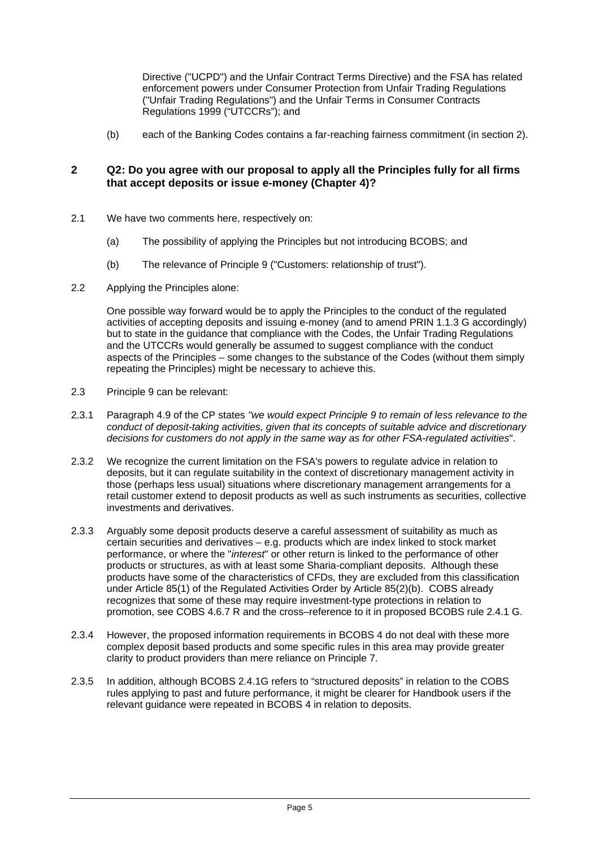Directive ("UCPD") and the Unfair Contract Terms Directive) and the FSA has related enforcement powers under Consumer Protection from Unfair Trading Regulations ("Unfair Trading Regulations") and the Unfair Terms in Consumer Contracts Regulations 1999 ("UTCCRs"); and

<span id="page-4-1"></span>(b) each of the Banking Codes contains a far-reaching fairness commitment (in section 2).

## **2 Q2: Do you agree with our proposal to apply all the Principles fully for all firms that accept deposits or issue e-money (Chapter 4)?**

- 2.1 We have two comments here, respectively on:
	- (a) The possibility of applying the Principles but not introducing BCOBS; and
	- (b) The relevance of Principle 9 ("Customers: relationship of trust").
- 2.2 Applying the Principles alone:

<span id="page-4-0"></span>One possible way forward would be to apply the Principles to the conduct of the regulated activities of accepting deposits and issuing e-money (and to amend PRIN 1.1.3 G accordingly) but to state in the guidance that compliance with the Codes, the Unfair Trading Regulations and the UTCCRs would generally be assumed to suggest compliance with the conduct aspects of the Principles – some changes to the substance of the Codes (without them simply repeating the Principles) might be necessary to achieve this.

- 2.3 Principle 9 can be relevant:
- 2.3.1 Paragraph 4.9 of the CP states *"we would expect Principle 9 to remain of less relevance to the conduct of deposit-taking activities, given that its concepts of suitable advice and discretionary decisions for customers do not apply in the same way as for other FSA-regulated activities*".
- 2.3.2 We recognize the current limitation on the FSA's powers to regulate advice in relation to deposits, but it can regulate suitability in the context of discretionary management activity in those (perhaps less usual) situations where discretionary management arrangements for a retail customer extend to deposit products as well as such instruments as securities, collective investments and derivatives.
- 2.3.3 Arguably some deposit products deserve a careful assessment of suitability as much as certain securities and derivatives – e.g. products which are index linked to stock market performance, or where the "*interest*" or other return is linked to the performance of other products or structures, as with at least some Sharia-compliant deposits. Although these products have some of the characteristics of CFDs, they are excluded from this classification under Article 85(1) of the Regulated Activities Order by Article 85(2)(b). COBS already recognizes that some of these may require investment-type protections in relation to promotion, see COBS 4.6.7 R and the cross–reference to it in proposed BCOBS rule 2.4.1 G.
- 2.3.4 However, the proposed information requirements in BCOBS 4 do not deal with these more complex deposit based products and some specific rules in this area may provide greater clarity to product providers than mere reliance on Principle 7.
- 2.3.5 In addition, although BCOBS 2.4.1G refers to "structured deposits" in relation to the COBS rules applying to past and future performance, it might be clearer for Handbook users if the relevant guidance were repeated in BCOBS 4 in relation to deposits.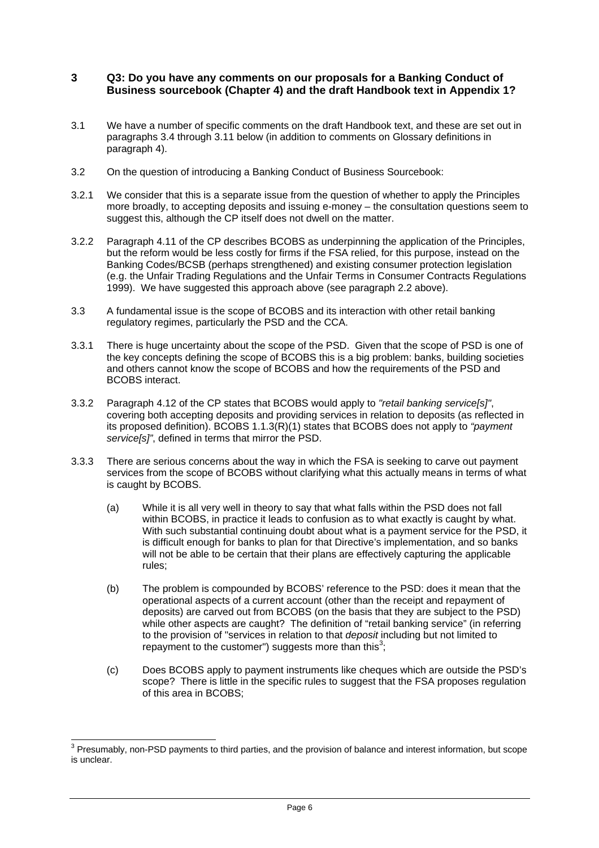## **3 Q3: Do you have any comments on our proposals for a Banking Conduct of Business sourcebook (Chapter 4) and the draft Handbook text in Appendix 1?**

- 3.1 We have a number of specific comments on the draft Handbook text, and these are set out in paragraphs 3.4 through [3.11](#page-8-1) below (in addition to comments on Glossary definitions in paragraph [4\)](#page-8-4).
- <span id="page-5-0"></span>3.2 On the question of introducing a Banking Conduct of Business Sourcebook:
- 3.2.1 We consider that this is a separate issue from the question of whether to apply the Principles more broadly, to accepting deposits and issuing e-money – the consultation questions seem to suggest this, although the CP itself does not dwell on the matter.
- 3.2.2 Paragraph 4.11 of the CP describes BCOBS as underpinning the application of the Principles, but the reform would be less costly for firms if the FSA relied, for this purpose, instead on the Banking Codes/BCSB (perhaps strengthened) and existing consumer protection legislation (e.g. the Unfair Trading Regulations and the Unfair Terms in Consumer Contracts Regulations 1999). We have suggested this approach above (see paragraph [2.2](#page-4-0) above).
- <span id="page-5-2"></span>3.3 A fundamental issue is the scope of BCOBS and its interaction with other retail banking regulatory regimes, particularly the PSD and the CCA.
- 3.3.1 There is huge uncertainty about the scope of the PSD. Given that the scope of PSD is one of the key concepts defining the scope of BCOBS this is a big problem: banks, building societies and others cannot know the scope of BCOBS and how the requirements of the PSD and BCOBS interact.
- 3.3.2 Paragraph 4.12 of the CP states that BCOBS would apply to *"retail banking service[s]"*, covering both accepting deposits and providing services in relation to deposits (as reflected in its proposed definition). BCOBS 1.1.3(R)(1) states that BCOBS does not apply to *"payment service[s]"*, defined in terms that mirror the PSD.
- 3.3.3 There are serious concerns about the way in which the FSA is seeking to carve out payment services from the scope of BCOBS without clarifying what this actually means in terms of what is caught by BCOBS.
	- (a) While it is all very well in theory to say that what falls within the PSD does not fall within BCOBS, in practice it leads to confusion as to what exactly is caught by what. With such substantial continuing doubt about what is a payment service for the PSD, it is difficult enough for banks to plan for that Directive's implementation, and so banks will not be able to be certain that their plans are effectively capturing the applicable rules;
	- (b) The problem is compounded by BCOBS' reference to the PSD: does it mean that the operational aspects of a current account (other than the receipt and repayment of deposits) are carved out from BCOBS (on the basis that they are subject to the PSD) while other aspects are caught? The definition of "retail banking service" (in referring to the provision of "services in relation to that *deposit* including but not limited to repayment to the customer") suggests more than this<sup>[3](#page-5-1)</sup>;
	- (c) Does BCOBS apply to payment instruments like cheques which are outside the PSD's scope? There is little in the specific rules to suggest that the FSA proposes regulation of this area in BCOBS;

<span id="page-5-1"></span> <sup>3</sup> Presumably, non-PSD payments to third parties, and the provision of balance and interest information, but scope is unclear.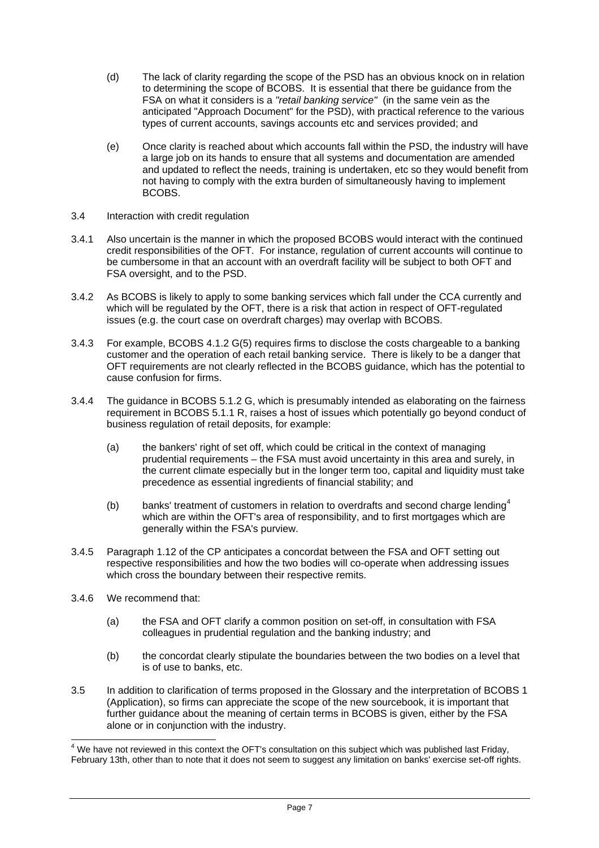- (d) The lack of clarity regarding the scope of the PSD has an obvious knock on in relation to determining the scope of BCOBS. It is essential that there be guidance from the FSA on what it considers is a *"retail banking service"* (in the same vein as the anticipated "Approach Document" for the PSD), with practical reference to the various types of current accounts, savings accounts etc and services provided; and
- (e) Once clarity is reached about which accounts fall within the PSD, the industry will have a large job on its hands to ensure that all systems and documentation are amended and updated to reflect the needs, training is undertaken, etc so they would benefit from not having to comply with the extra burden of simultaneously having to implement BCOBS.
- 3.4 Interaction with credit regulation
- 3.4.1 Also uncertain is the manner in which the proposed BCOBS would interact with the continued credit responsibilities of the OFT. For instance, regulation of current accounts will continue to be cumbersome in that an account with an overdraft facility will be subject to both OFT and FSA oversight, and to the PSD.
- 3.4.2 As BCOBS is likely to apply to some banking services which fall under the CCA currently and which will be regulated by the OFT, there is a risk that action in respect of OFT-regulated issues (e.g. the court case on overdraft charges) may overlap with BCOBS.
- 3.4.3 For example, BCOBS 4.1.2 G(5) requires firms to disclose the costs chargeable to a banking customer and the operation of each retail banking service. There is likely to be a danger that OFT requirements are not clearly reflected in the BCOBS guidance, which has the potential to cause confusion for firms.
- 3.4.4 The guidance in BCOBS 5.1.2 G, which is presumably intended as elaborating on the fairness requirement in BCOBS 5.1.1 R, raises a host of issues which potentially go beyond conduct of business regulation of retail deposits, for example:
	- (a) the bankers' right of set off, which could be critical in the context of managing prudential requirements – the FSA must avoid uncertainty in this area and surely, in the current climate especially but in the longer term too, capital and liquidity must take precedence as essential ingredients of financial stability; and
	- (b) banks' treatment of customers in relation to overdrafts and second charge lending<sup>[4](#page-6-0)</sup> which are within the OFT's area of responsibility, and to first mortgages which are generally within the FSA's purview.
- 3.4.5 Paragraph 1.12 of the CP anticipates a concordat between the FSA and OFT setting out respective responsibilities and how the two bodies will co-operate when addressing issues which cross the boundary between their respective remits.
- 3.4.6 We recommend that:
	- (a) the FSA and OFT clarify a common position on set-off, in consultation with FSA colleagues in prudential regulation and the banking industry; and
	- (b) the concordat clearly stipulate the boundaries between the two bodies on a level that is of use to banks, etc.
- 3.5 In addition to clarification of terms proposed in the Glossary and the interpretation of BCOBS 1 (Application), so firms can appreciate the scope of the new sourcebook, it is important that further guidance about the meaning of certain terms in BCOBS is given, either by the FSA alone or in conjunction with the industry.

<span id="page-6-0"></span> <sup>4</sup> We have not reviewed in this context the OFT's consultation on this subject which was published last Friday, February 13th, other than to note that it does not seem to suggest any limitation on banks' exercise set-off rights.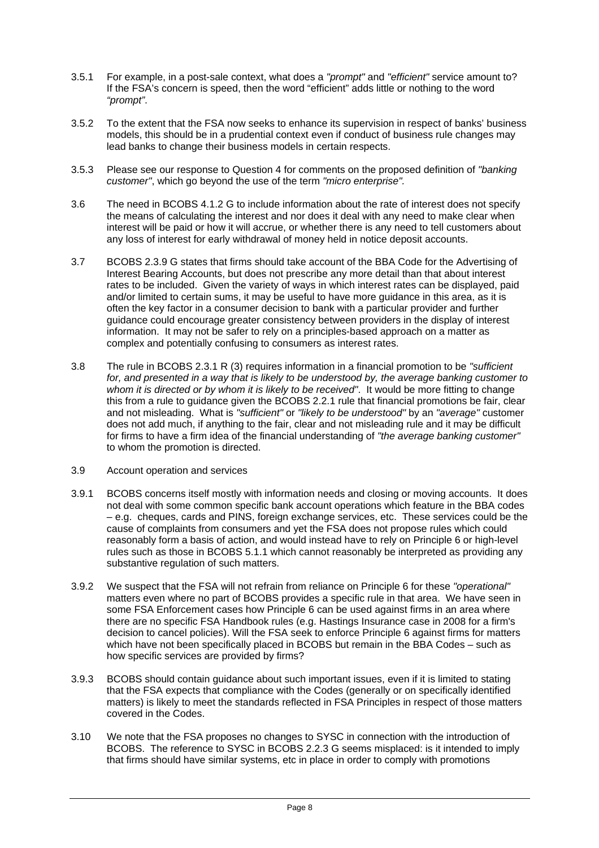- 3.5.1 For example, in a post-sale context, what does a *"prompt"* and *"efficient"* service amount to? If the FSA's concern is speed, then the word "efficient" adds little or nothing to the word *"prompt"*.
- 3.5.2 To the extent that the FSA now seeks to enhance its supervision in respect of banks' business models, this should be in a prudential context even if conduct of business rule changes may lead banks to change their business models in certain respects.
- 3.5.3 Please see our response to Question 4 for comments on the proposed definition of *"banking customer"*, which go beyond the use of the term *"micro enterprise".*
- 3.6 The need in BCOBS 4.1.2 G to include information about the rate of interest does not specify the means of calculating the interest and nor does it deal with any need to make clear when interest will be paid or how it will accrue, or whether there is any need to tell customers about any loss of interest for early withdrawal of money held in notice deposit accounts.
- 3.7 BCOBS 2.3.9 G states that firms should take account of the BBA Code for the Advertising of Interest Bearing Accounts, but does not prescribe any more detail than that about interest rates to be included. Given the variety of ways in which interest rates can be displayed, paid and/or limited to certain sums, it may be useful to have more guidance in this area, as it is often the key factor in a consumer decision to bank with a particular provider and further guidance could encourage greater consistency between providers in the display of interest information. It may not be safer to rely on a principles-based approach on a matter as complex and potentially confusing to consumers as interest rates.
- <span id="page-7-0"></span>3.8 The rule in BCOBS 2.3.1 R (3) requires information in a financial promotion to be *"sufficient for, and presented in a way that is likely to be understood by, the average banking customer to whom it is directed or by whom it is likely to be received"*. It would be more fitting to change this from a rule to guidance given the BCOBS 2.2.1 rule that financial promotions be fair, clear and not misleading. What is *"sufficient"* or *"likely to be understood"* by an *"average"* customer does not add much, if anything to the fair, clear and not misleading rule and it may be difficult for firms to have a firm idea of the financial understanding of *"the average banking customer"* to whom the promotion is directed.
- 3.9 Account operation and services
- 3.9.1 BCOBS concerns itself mostly with information needs and closing or moving accounts. It does not deal with some common specific bank account operations which feature in the BBA codes – e.g. cheques, cards and PINS, foreign exchange services, etc. These services could be the cause of complaints from consumers and yet the FSA does not propose rules which could reasonably form a basis of action, and would instead have to rely on Principle 6 or high-level rules such as those in BCOBS 5.1.1 which cannot reasonably be interpreted as providing any substantive regulation of such matters.
- 3.9.2 We suspect that the FSA will not refrain from reliance on Principle 6 for these *"operational"* matters even where no part of BCOBS provides a specific rule in that area. We have seen in some FSA Enforcement cases how Principle 6 can be used against firms in an area where there are no specific FSA Handbook rules (e.g. Hastings Insurance case in 2008 for a firm's decision to cancel policies). Will the FSA seek to enforce Principle 6 against firms for matters which have not been specifically placed in BCOBS but remain in the BBA Codes – such as how specific services are provided by firms?
- 3.9.3 BCOBS should contain guidance about such important issues, even if it is limited to stating that the FSA expects that compliance with the Codes (generally or on specifically identified matters) is likely to meet the standards reflected in FSA Principles in respect of those matters covered in the Codes.
- 3.10 We note that the FSA proposes no changes to SYSC in connection with the introduction of BCOBS. The reference to SYSC in BCOBS 2.2.3 G seems misplaced: is it intended to imply that firms should have similar systems, etc in place in order to comply with promotions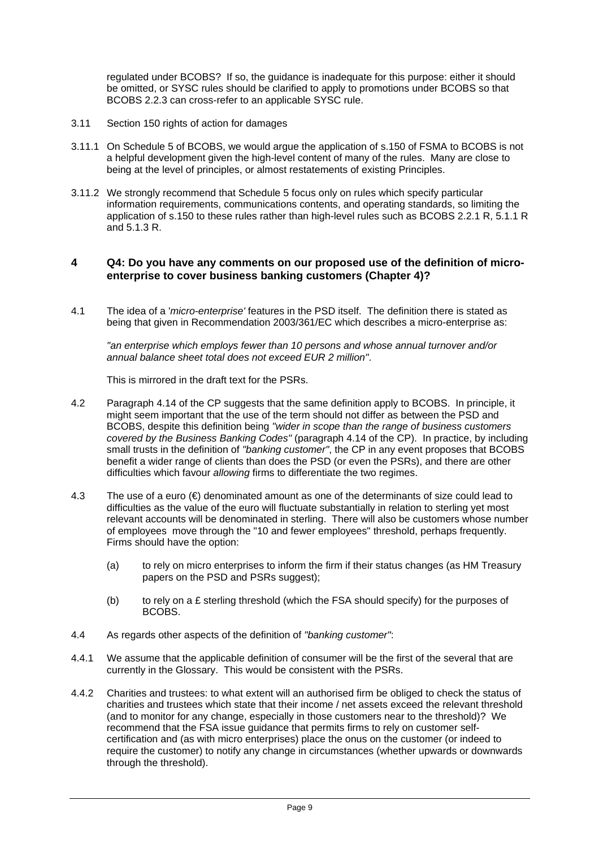regulated under BCOBS? If so, the guidance is inadequate for this purpose: either it should be omitted, or SYSC rules should be clarified to apply to promotions under BCOBS so that BCOBS 2.2.3 can cross-refer to an applicable SYSC rule.

- <span id="page-8-1"></span>3.11 Section 150 rights of action for damages
- 3.11.1 On Schedule 5 of BCOBS, we would argue the application of s.150 of FSMA to BCOBS is not a helpful development given the high-level content of many of the rules. Many are close to being at the level of principles, or almost restatements of existing Principles.
- 3.11.2 We strongly recommend that Schedule 5 focus only on rules which specify particular information requirements, communications contents, and operating standards, so limiting the application of s.150 to these rules rather than high-level rules such as BCOBS 2.2.1 R, 5.1.1 R and 5.1.3 R.

### <span id="page-8-4"></span>**4 Q4: Do you have any comments on our proposed use of the definition of microenterprise to cover business banking customers (Chapter 4)?**

4.1 The idea of a '*micro-enterprise'* features in the PSD itself. The definition there is stated as being that given in Recommendation 2003/361/EC which describes a micro-enterprise as:

*"an enterprise which employs fewer than 10 persons and whose annual turnover and/or annual balance sheet total does not exceed EUR 2 million"*.

This is mirrored in the draft text for the PSRs.

- 4.2 Paragraph 4.14 of the CP suggests that the same definition apply to BCOBS. In principle, it might seem important that the use of the term should not differ as between the PSD and BCOBS, despite this definition being *"wider in scope than the range of business customers covered by the Business Banking Codes"* (paragraph 4.14 of the CP). In practice, by including small trusts in the definition of *"banking customer"*, the CP in any event proposes that BCOBS benefit a wider range of clients than does the PSD (or even the PSRs), and there are other difficulties which favour *allowing* firms to differentiate the two regimes.
- <span id="page-8-2"></span>4.3 The use of a euro (€) denominated amount as one of the determinants of size could lead to difficulties as the value of the euro will fluctuate substantially in relation to sterling yet most relevant accounts will be denominated in sterling. There will also be customers whose number of employees move through the "10 and fewer employees" threshold, perhaps frequently. Firms should have the option:
	- (a) to rely on micro enterprises to inform the firm if their status changes (as HM Treasury papers on the PSD and PSRs suggest);
	- (b) to rely on a £ sterling threshold (which the FSA should specify) for the purposes of BCOBS.
- <span id="page-8-3"></span>4.4 As regards other aspects of the definition of *"banking customer"*:
- 4.4.1 We assume that the applicable definition of consumer will be the first of the several that are currently in the Glossary. This would be consistent with the PSRs.
- <span id="page-8-0"></span>4.4.2 Charities and trustees: to what extent will an authorised firm be obliged to check the status of charities and trustees which state that their income / net assets exceed the relevant threshold (and to monitor for any change, especially in those customers near to the threshold)? We recommend that the FSA issue guidance that permits firms to rely on customer selfcertification and (as with micro enterprises) place the onus on the customer (or indeed to require the customer) to notify any change in circumstances (whether upwards or downwards through the threshold).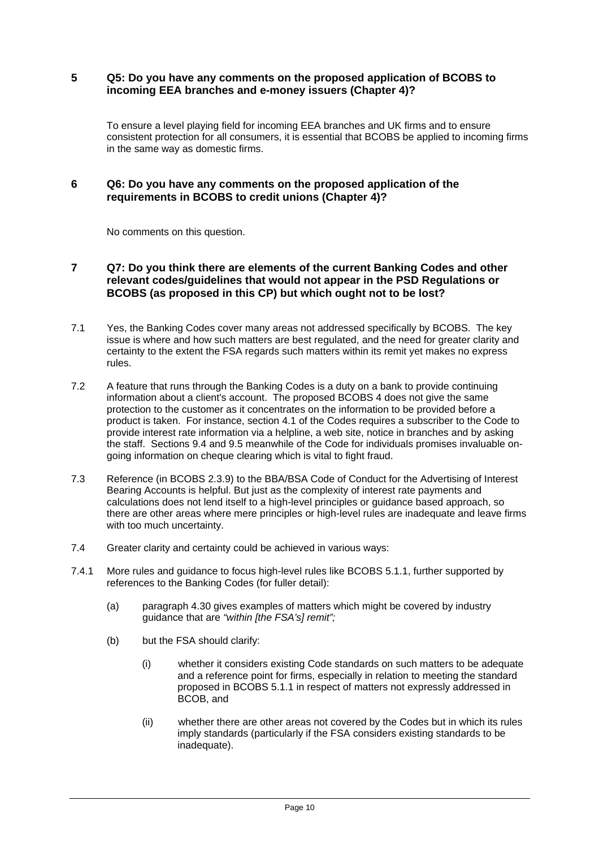# **5 Q5: Do you have any comments on the proposed application of BCOBS to incoming EEA branches and e-money issuers (Chapter 4)?**

To ensure a level playing field for incoming EEA branches and UK firms and to ensure consistent protection for all consumers, it is essential that BCOBS be applied to incoming firms in the same way as domestic firms.

## **6 Q6: Do you have any comments on the proposed application of the requirements in BCOBS to credit unions (Chapter 4)?**

<span id="page-9-0"></span>No comments on this question.

# **7 Q7: Do you think there are elements of the current Banking Codes and other relevant codes/guidelines that would not appear in the PSD Regulations or BCOBS (as proposed in this CP) but which ought not to be lost?**

- 7.1 Yes, the Banking Codes cover many areas not addressed specifically by BCOBS. The key issue is where and how such matters are best regulated, and the need for greater clarity and certainty to the extent the FSA regards such matters within its remit yet makes no express rules.
- 7.2 A feature that runs through the Banking Codes is a duty on a bank to provide continuing information about a client's account. The proposed BCOBS 4 does not give the same protection to the customer as it concentrates on the information to be provided before a product is taken. For instance, section 4.1 of the Codes requires a subscriber to the Code to provide interest rate information via a helpline, a web site, notice in branches and by asking the staff. Sections 9.4 and 9.5 meanwhile of the Code for individuals promises invaluable ongoing information on cheque clearing which is vital to fight fraud.
- 7.3 Reference (in BCOBS 2.3.9) to the BBA/BSA Code of Conduct for the Advertising of Interest Bearing Accounts is helpful. But just as the complexity of interest rate payments and calculations does not lend itself to a high-level principles or guidance based approach, so there are other areas where mere principles or high-level rules are inadequate and leave firms with too much uncertainty.
- 7.4 Greater clarity and certainty could be achieved in various ways:
- 7.4.1 More rules and guidance to focus high-level rules like BCOBS 5.1.1, further supported by references to the Banking Codes (for fuller detail):
	- (a) paragraph 4.30 gives examples of matters which might be covered by industry guidance that are *"within [the FSA's] remit";*
	- (b) but the FSA should clarify:
		- (i) whether it considers existing Code standards on such matters to be adequate and a reference point for firms, especially in relation to meeting the standard proposed in BCOBS 5.1.1 in respect of matters not expressly addressed in BCOB, and
		- (ii) whether there are other areas not covered by the Codes but in which its rules imply standards (particularly if the FSA considers existing standards to be inadequate).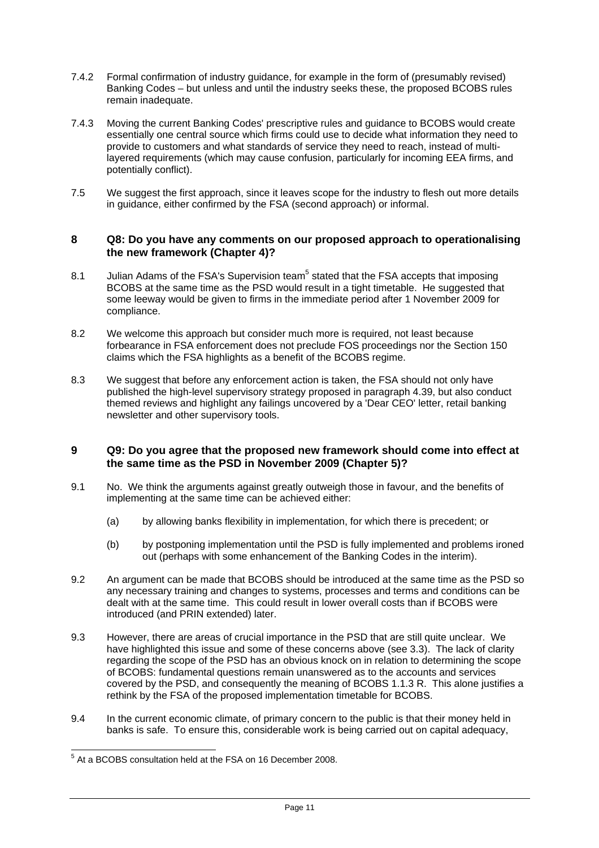- 7.4.2 Formal confirmation of industry guidance, for example in the form of (presumably revised) Banking Codes – but unless and until the industry seeks these, the proposed BCOBS rules remain inadequate.
- 7.4.3 Moving the current Banking Codes' prescriptive rules and guidance to BCOBS would create essentially one central source which firms could use to decide what information they need to provide to customers and what standards of service they need to reach, instead of multilayered requirements (which may cause confusion, particularly for incoming EEA firms, and potentially conflict).
- 7.5 We suggest the first approach, since it leaves scope for the industry to flesh out more details in guidance, either confirmed by the FSA (second approach) or informal.

### **8 Q8: Do you have any comments on our proposed approach to operationalising the new framework (Chapter 4)?**

- 8.1 Julian Adams of the FSA's Supervision team<sup>5</sup> stated that the FSA accepts that imposing BCOBS at the same time as the PSD would result in a tight timetable. He suggested that some leeway would be given to firms in the immediate period after 1 November 2009 for compliance.
- 8.2 We welcome this approach but consider much more is required, not least because forbearance in FSA enforcement does not preclude FOS proceedings nor the Section 150 claims which the FSA highlights as a benefit of the BCOBS regime.
- 8.3 We suggest that before any enforcement action is taken, the FSA should not only have published the high-level supervisory strategy proposed in paragraph 4.39, but also conduct themed reviews and highlight any failings uncovered by a 'Dear CEO' letter, retail banking newsletter and other supervisory tools.

## **9 Q9: Do you agree that the proposed new framework should come into effect at the same time as the PSD in November 2009 (Chapter 5)?**

- 9.1 No. We think the arguments against greatly outweigh those in favour, and the benefits of implementing at the same time can be achieved either:
	- (a) by allowing banks flexibility in implementation, for which there is precedent; or
	- (b) by postponing implementation until the PSD is fully implemented and problems ironed out (perhaps with some enhancement of the Banking Codes in the interim).
- 9.2 An argument can be made that BCOBS should be introduced at the same time as the PSD so any necessary training and changes to systems, processes and terms and conditions can be dealt with at the same time. This could result in lower overall costs than if BCOBS were introduced (and PRIN extended) later.
- 9.3 However, there are areas of crucial importance in the PSD that are still quite unclear. We have highlighted this issue and some of these concerns above (see [3.3\)](#page-5-2). The lack of clarity regarding the scope of the PSD has an obvious knock on in relation to determining the scope of BCOBS: fundamental questions remain unanswered as to the accounts and services covered by the PSD, and consequently the meaning of BCOBS 1.1.3 R. This alone justifies a rethink by the FSA of the proposed implementation timetable for BCOBS.
- 9.4 In the current economic climate, of primary concern to the public is that their money held in banks is safe. To ensure this, considerable work is being carried out on capital adequacy,

<span id="page-10-0"></span> <sup>5</sup> At a BCOBS consultation held at the FSA on 16 December 2008.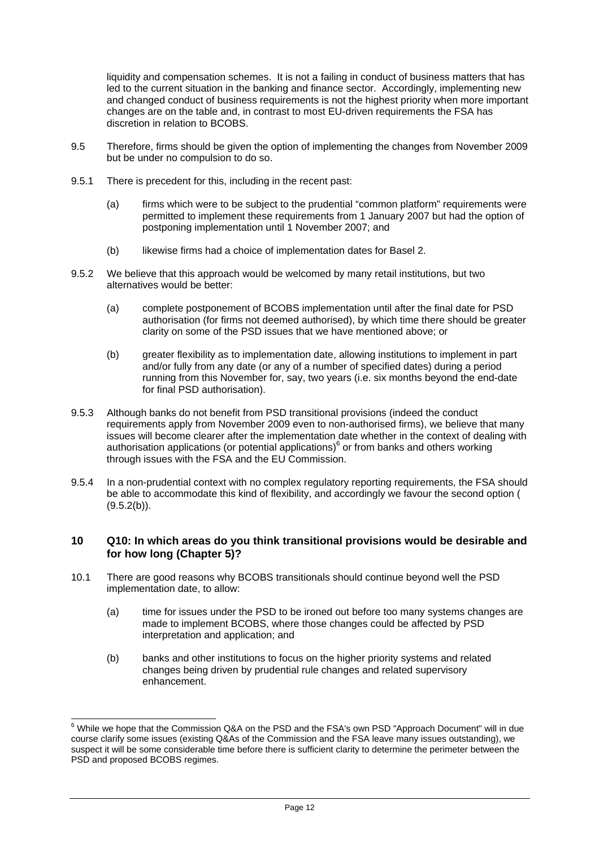liquidity and compensation schemes. It is not a failing in conduct of business matters that has led to the current situation in the banking and finance sector. Accordingly, implementing new and changed conduct of business requirements is not the highest priority when more important changes are on the table and, in contrast to most EU-driven requirements the FSA has discretion in relation to BCOBS.

- 9.5 Therefore, firms should be given the option of implementing the changes from November 2009 but be under no compulsion to do so.
- 9.5.1 There is precedent for this, including in the recent past:
	- (a) firms which were to be subject to the prudential "common platform" requirements were permitted to implement these requirements from 1 January 2007 but had the option of postponing implementation until 1 November 2007; and
	- (b) likewise firms had a choice of implementation dates for Basel 2.
- 9.5.2 We believe that this approach would be welcomed by many retail institutions, but two alternatives would be better:
	- (a) complete postponement of BCOBS implementation until after the final date for PSD authorisation (for firms not deemed authorised), by which time there should be greater clarity on some of the PSD issues that we have mentioned above; or
	- (b) greater flexibility as to implementation date, allowing institutions to implement in part and/or fully from any date (or any of a number of specified dates) during a period running from this November for, say, two years (i.e. six months beyond the end-date for final PSD authorisation).
- <span id="page-11-0"></span>9.5.3 Although banks do not benefit from PSD transitional provisions (indeed the conduct requirements apply from November 2009 even to non-authorised firms), we believe that many issues will become clearer after the implementation date whether in the context of dealing with authorisation applications (or potential applications) $6$  or from banks and others working through issues with the FSA and the EU Commission.
- 9.5.4 In a non-prudential context with no complex regulatory reporting requirements, the FSA should be able to accommodate this kind of flexibility, and accordingly we favour the second option (  $(9.5.2(b))$ .

## **10 Q10: In which areas do you think transitional provisions would be desirable and for how long (Chapter 5)?**

- 10.1 There are good reasons why BCOBS transitionals should continue beyond well the PSD implementation date, to allow:
	- (a) time for issues under the PSD to be ironed out before too many systems changes are made to implement BCOBS, where those changes could be affected by PSD interpretation and application; and
	- (b) banks and other institutions to focus on the higher priority systems and related changes being driven by prudential rule changes and related supervisory enhancement.

<span id="page-11-1"></span> <sup>6</sup> While we hope that the Commission Q&A on the PSD and the FSA's own PSD "Approach Document" will in due course clarify some issues (existing Q&As of the Commission and the FSA leave many issues outstanding), we suspect it will be some considerable time before there is sufficient clarity to determine the perimeter between the PSD and proposed BCOBS regimes.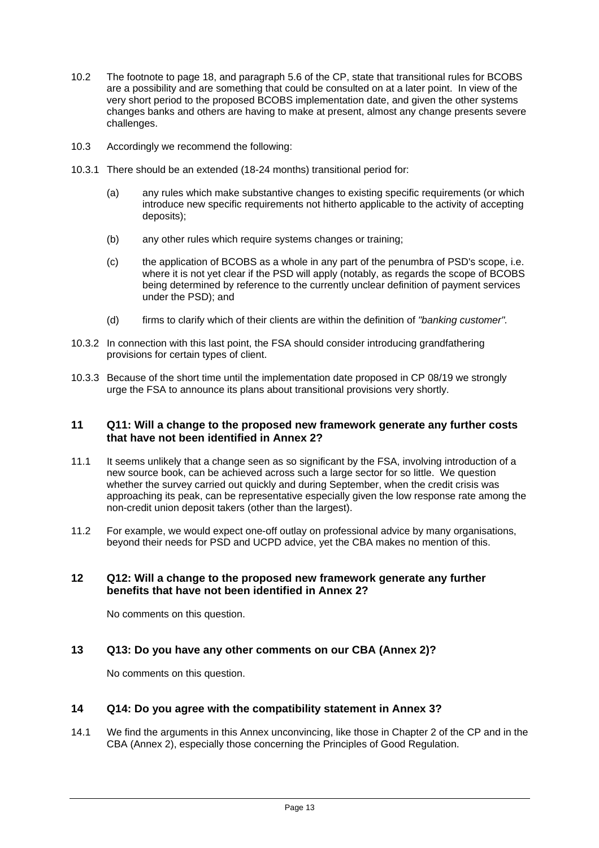- 10.2 The footnote to page 18, and paragraph 5.6 of the CP, state that transitional rules for BCOBS are a possibility and are something that could be consulted on at a later point. In view of the very short period to the proposed BCOBS implementation date, and given the other systems changes banks and others are having to make at present, almost any change presents severe challenges.
- 10.3 Accordingly we recommend the following:
- 10.3.1 There should be an extended (18-24 months) transitional period for:
	- (a) any rules which make substantive changes to existing specific requirements (or which introduce new specific requirements not hitherto applicable to the activity of accepting deposits);
	- (b) any other rules which require systems changes or training;
	- (c) the application of BCOBS as a whole in any part of the penumbra of PSD's scope, i.e. where it is not yet clear if the PSD will apply (notably, as regards the scope of BCOBS being determined by reference to the currently unclear definition of payment services under the PSD); and
	- (d) firms to clarify which of their clients are within the definition of *"banking customer".*
- 10.3.2 In connection with this last point, the FSA should consider introducing grandfathering provisions for certain types of client.
- 10.3.3 Because of the short time until the implementation date proposed in CP 08/19 we strongly urge the FSA to announce its plans about transitional provisions very shortly.

## **11 Q11: Will a change to the proposed new framework generate any further costs that have not been identified in Annex 2?**

- 11.1 It seems unlikely that a change seen as so significant by the FSA, involving introduction of a new source book, can be achieved across such a large sector for so little. We question whether the survey carried out quickly and during September, when the credit crisis was approaching its peak, can be representative especially given the low response rate among the non-credit union deposit takers (other than the largest).
- 11.2 For example, we would expect one-off outlay on professional advice by many organisations, beyond their needs for PSD and UCPD advice, yet the CBA makes no mention of this.

## **12 Q12: Will a change to the proposed new framework generate any further benefits that have not been identified in Annex 2?**

No comments on this question.

# **13 Q13: Do you have any other comments on our CBA (Annex 2)?**

No comments on this question.

#### **14 Q14: Do you agree with the compatibility statement in Annex 3?**

14.1 We find the arguments in this Annex unconvincing, like those in Chapter 2 of the CP and in the CBA (Annex 2), especially those concerning the Principles of Good Regulation.